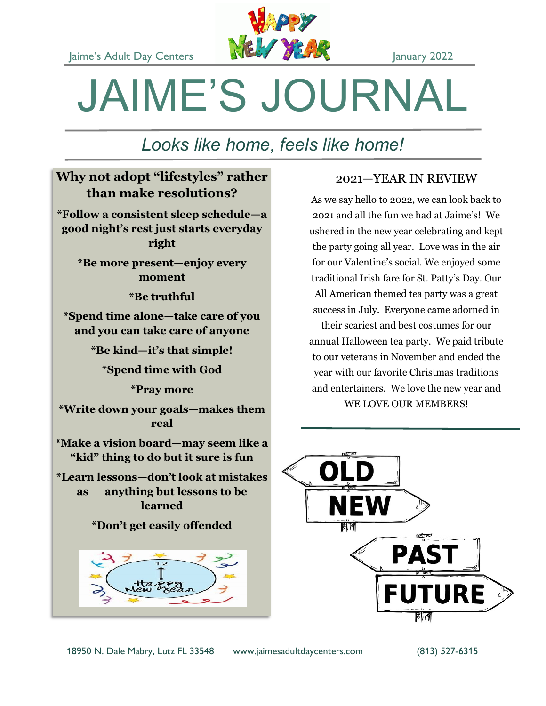

# JAIME'S JOURNAL

# *Looks like home, feels like home!*

# **Why not adopt "lifestyles" rather than make resolutions?**

**\*Follow a consistent sleep schedule—a good night's rest just starts everyday right**

**\*Be more present—enjoy every moment**

**\*Be truthful**

**\*Spend time alone—take care of you and you can take care of anyone**

**\*Be kind—it's that simple!**

**\*Spend time with God**

**\*Pray more**

**\*Write down your goals—makes them real**

**\*Make a vision board—may seem like a "kid" thing to do but it sure is fun**

**\*Learn lessons—don't look at mistakes as anything but lessons to be learned**

**\*Don't get easily offended**



# 2021—YEAR IN REVIEW

As we say hello to 2022, we can look back to 2021 and all the fun we had at Jaime's! We ushered in the new year celebrating and kept the party going all year. Love was in the air for our Valentine's social. We enjoyed some traditional Irish fare for St. Patty's Day. Our All American themed tea party was a great success in July. Everyone came adorned in their scariest and best costumes for our

annual Halloween tea party. We paid tribute to our veterans in November and ended the year with our favorite Christmas traditions and entertainers. We love the new year and WE LOVE OUR MEMBERS!

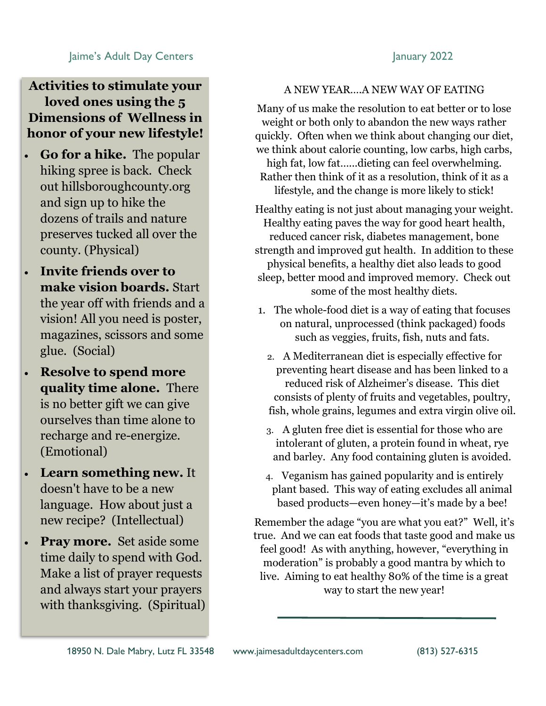# Jaime's Adult Day Centers **January 2022**

# **Activities to stimulate your loved ones using the 5 Dimensions of Wellness in honor of your new lifestyle!**

- **Go for a hike.** The popular hiking spree is back. Check out hillsboroughcounty.org and sign up to hike the dozens of trails and nature preserves tucked all over the county. (Physical)
- **Invite friends over to make vision boards.** Start the year off with friends and a vision! All you need is poster, magazines, scissors and some glue. (Social)
- **Resolve to spend more quality time alone.** There is no better gift we can give ourselves than time alone to recharge and re-energize. (Emotional)
- **Learn something new.** It doesn't have to be a new language. How about just a new recipe? (Intellectual)
- **Pray more.** Set aside some time daily to spend with God. Make a list of prayer requests and always start your prayers with thanksgiving. (Spiritual)

# A NEW YEAR….A NEW WAY OF EATING

Many of us make the resolution to eat better or to lose weight or both only to abandon the new ways rather quickly. Often when we think about changing our diet, we think about calorie counting, low carbs, high carbs, high fat, low fat…...dieting can feel overwhelming. Rather then think of it as a resolution, think of it as a lifestyle, and the change is more likely to stick!

Healthy eating is not just about managing your weight. Healthy eating paves the way for good heart health, reduced cancer risk, diabetes management, bone strength and improved gut health. In addition to these physical benefits, a healthy diet also leads to good sleep, better mood and improved memory. Check out some of the most healthy diets.

- 1. The whole-food diet is a way of eating that focuses on natural, unprocessed (think packaged) foods such as veggies, fruits, fish, nuts and fats.
	- 2. A Mediterranean diet is especially effective for preventing heart disease and has been linked to a reduced risk of Alzheimer's disease. This diet consists of plenty of fruits and vegetables, poultry, fish, whole grains, legumes and extra virgin olive oil.
	- 3. A gluten free diet is essential for those who are intolerant of gluten, a protein found in wheat, rye and barley. Any food containing gluten is avoided.
	- 4. Veganism has gained popularity and is entirely plant based. This way of eating excludes all animal based products—even honey—it's made by a bee!

Remember the adage "you are what you eat?" Well, it's true. And we can eat foods that taste good and make us feel good! As with anything, however, "everything in moderation" is probably a good mantra by which to live. Aiming to eat healthy 80% of the time is a great way to start the new year!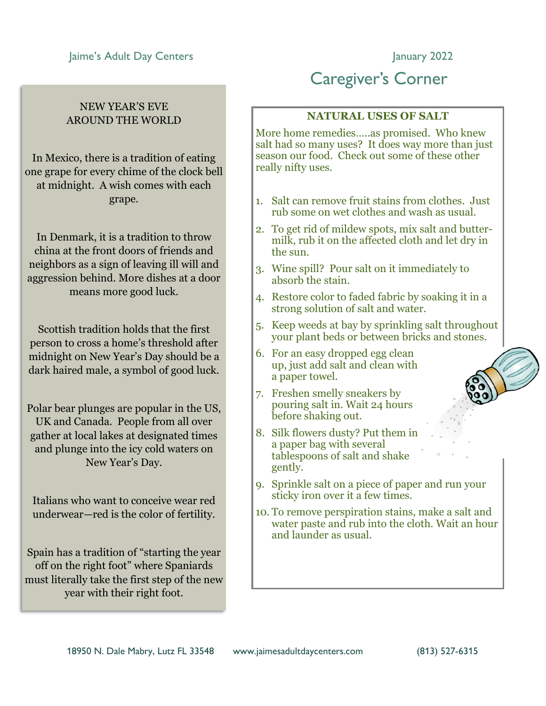# Jaime's Adult Day Centers **January 2022**

# NEW YEAR'S EVE AROUND THE WORLD

In Mexico, there is a tradition of eating one grape for every chime of the clock bell at midnight. A wish comes with each grape.

In Denmark, it is a tradition to throw china at the front doors of friends and neighbors as a sign of leaving ill will and aggression behind. More dishes at a door means more good luck.

Scottish tradition holds that the first person to cross a home's threshold after midnight on New Year's Day should be a dark haired male, a symbol of good luck.

Polar bear plunges are popular in the US, UK and Canada. People from all over gather at local lakes at designated times and plunge into the icy cold waters on New Year's Day.

Italians who want to conceive wear red underwear—red is the color of fertility.

Spain has a tradition of "starting the year off on the right foot" where Spaniards must literally take the first step of the new year with their right foot.

# Caregiver's Corner

## **NATURAL USES OF SALT**

More home remedies…..as promised. Who knew salt had so many uses? It does way more than just season our food. Check out some of these other really nifty uses.

- 1. Salt can remove fruit stains from clothes. Just rub some on wet clothes and wash as usual.
- 2. To get rid of mildew spots, mix salt and buttermilk, rub it on the affected cloth and let dry in the sun.
- 3. Wine spill? Pour salt on it immediately to absorb the stain.
- 4. Restore color to faded fabric by soaking it in a strong solution of salt and water.
- 5. Keep weeds at bay by sprinkling salt throughout your plant beds or between bricks and stones.
- 6. For an easy dropped egg clean up, just add salt and clean with a paper towel.
- 7. Freshen smelly sneakers by pouring salt in. Wait 24 hours before shaking out.
- 8. Silk flowers dusty? Put them in a paper bag with several tablespoons of salt and shake gently.
- 9. Sprinkle salt on a piece of paper and run your sticky iron over it a few times.
- 10. To remove perspiration stains, make a salt and water paste and rub into the cloth. Wait an hour and launder as usual.